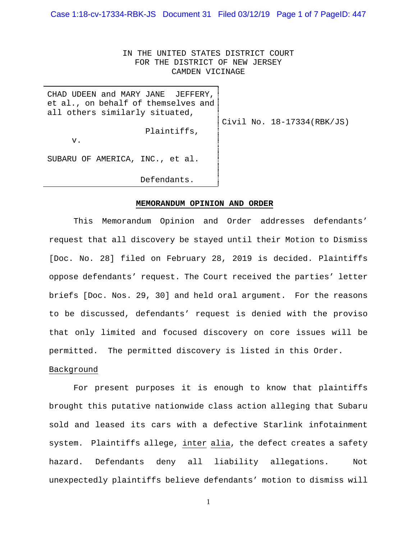Case 1:18-cv-17334-RBK-JS Document 31 Filed 03/12/19 Page 1 of 7 PageID: 447

IN THE UNITED STATES DISTRICT COURT FOR THE DISTRICT OF NEW JERSEY CAMDEN VICINAGE

| CHAD UDEEN and MARY JANE JEFFERY,<br>et al., on behalf of themselves and<br>all others similarly situated, |                            |
|------------------------------------------------------------------------------------------------------------|----------------------------|
| Plaintiffs,<br>v.                                                                                          | Civil No. 18-17334(RBK/JS) |
| SUBARU OF AMERICA, INC., et al.                                                                            |                            |
| Defendants.                                                                                                |                            |

#### **MEMORANDUM OPINION AND ORDER**

This Memorandum Opinion and Order addresses defendants' request that all discovery be stayed until their Motion to Dismiss [Doc. No. 28] filed on February 28, 2019 is decided. Plaintiffs oppose defendants' request. The Court received the parties' letter briefs [Doc. Nos. 29, 30] and held oral argument. For the reasons to be discussed, defendants' request is denied with the proviso that only limited and focused discovery on core issues will be permitted. The permitted discovery is listed in this Order.

### Background

For present purposes it is enough to know that plaintiffs brought this putative nationwide class action alleging that Subaru sold and leased its cars with a defective Starlink infotainment system. Plaintiffs allege, inter alia, the defect creates a safety hazard. Defendants deny all liability allegations. Not unexpectedly plaintiffs believe defendants' motion to dismiss will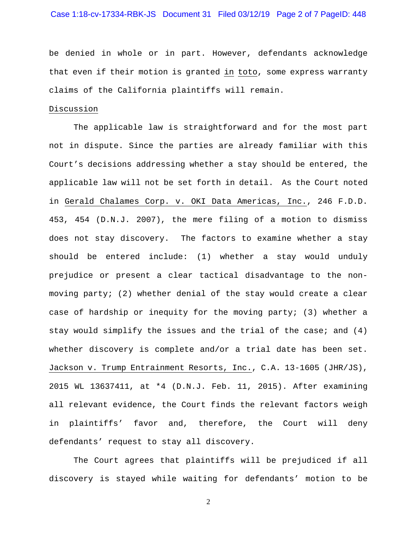## Case 1:18-cv-17334-RBK-JS Document 31 Filed 03/12/19 Page 2 of 7 PageID: 448

be denied in whole or in part. However, defendants acknowledge that even if their motion is granted in toto, some express warranty claims of the California plaintiffs will remain.

# Discussion

The applicable law is straightforward and for the most part not in dispute. Since the parties are already familiar with this Court's decisions addressing whether a stay should be entered, the applicable law will not be set forth in detail. As the Court noted in Gerald Chalames Corp. v. OKI Data Americas, Inc., 246 F.D.D. 453, 454 (D.N.J. 2007), the mere filing of a motion to dismiss does not stay discovery. The factors to examine whether a stay should be entered include: (1) whether a stay would unduly prejudice or present a clear tactical disadvantage to the nonmoving party; (2) whether denial of the stay would create a clear case of hardship or inequity for the moving party; (3) whether a stay would simplify the issues and the trial of the case; and  $(4)$ whether discovery is complete and/or a trial date has been set. Jackson v. Trump Entrainment Resorts, Inc., C.A. 13-1605 (JHR/JS), 2015 WL 13637411, at \*4 (D.N.J. Feb. 11, 2015). After examining all relevant evidence, the Court finds the relevant factors weigh in plaintiffs' favor and, therefore, the Court will deny defendants' request to stay all discovery.

The Court agrees that plaintiffs will be prejudiced if all discovery is stayed while waiting for defendants' motion to be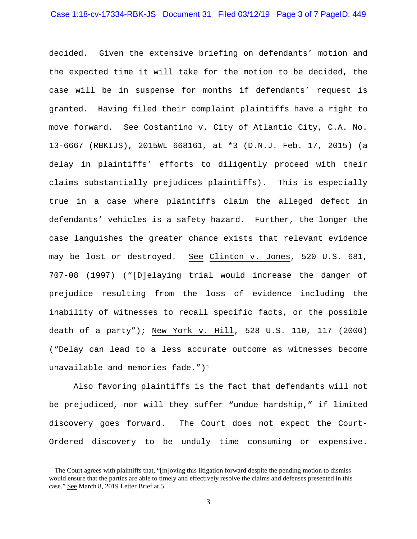decided. Given the extensive briefing on defendants' motion and the expected time it will take for the motion to be decided, the case will be in suspense for months if defendants' request is granted. Having filed their complaint plaintiffs have a right to move forward. See Costantino v. City of Atlantic City, C.A. No. 13-6667 (RBKIJS), 2015WL 668161, at \*3 (D.N.J. Feb. 17, 2015) (a delay in plaintiffs' efforts to diligently proceed with their claims substantially prejudices plaintiffs). This is especially true in a case where plaintiffs claim the alleged defect in defendants' vehicles is a safety hazard. Further, the longer the case languishes the greater chance exists that relevant evidence may be lost or destroyed. See Clinton v. Jones, 520 U.S. 681, 707-08 (1997) ("[D]elaying trial would increase the danger of prejudice resulting from the loss of evidence including the inability of witnesses to recall specific facts, or the possible death of a party"); New York v. Hill, 528 U.S. 110, 117 (2000) ("Delay can lead to a less accurate outcome as witnesses become unavailable and memories fade." $1^1$  $1^1$ 

Also favoring plaintiffs is the fact that defendants will not be prejudiced, nor will they suffer "undue hardship," if limited discovery goes forward. The Court does not expect the Court-Ordered discovery to be unduly time consuming or expensive.

<span id="page-2-0"></span><sup>|&</sup>lt;br>|<br>|  $1$  The Court agrees with plaintiffs that, "[m]oving this litigation forward despite the pending motion to dismiss would ensure that the parties are able to timely and effectively resolve the claims and defenses presented in this case." See March 8, 2019 Letter Brief at 5.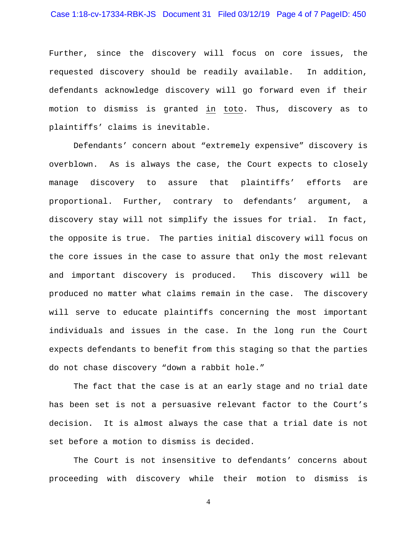## Case 1:18-cv-17334-RBK-JS Document 31 Filed 03/12/19 Page 4 of 7 PageID: 450

Further, since the discovery will focus on core issues, the requested discovery should be readily available. In addition, defendants acknowledge discovery will go forward even if their motion to dismiss is granted in toto. Thus, discovery as to plaintiffs' claims is inevitable.

Defendants' concern about "extremely expensive" discovery is overblown. As is always the case, the Court expects to closely manage discovery to assure that plaintiffs' efforts are proportional. Further, contrary to defendants' argument, a discovery stay will not simplify the issues for trial. In fact, the opposite is true. The parties initial discovery will focus on the core issues in the case to assure that only the most relevant and important discovery is produced. This discovery will be produced no matter what claims remain in the case. The discovery will serve to educate plaintiffs concerning the most important individuals and issues in the case. In the long run the Court expects defendants to benefit from this staging so that the parties do not chase discovery "down a rabbit hole."

The fact that the case is at an early stage and no trial date has been set is not a persuasive relevant factor to the Court's decision. It is almost always the case that a trial date is not set before a motion to dismiss is decided.

The Court is not insensitive to defendants' concerns about proceeding with discovery while their motion to dismiss is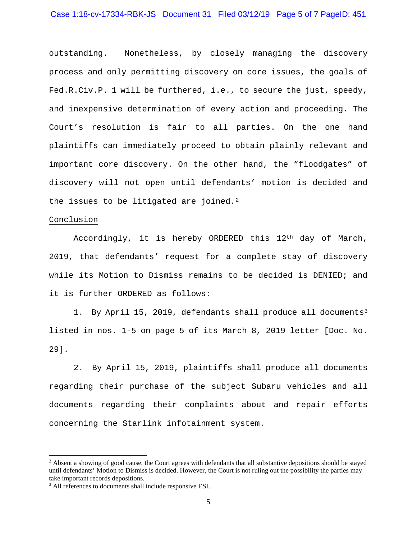## Case 1:18-cv-17334-RBK-JS Document 31 Filed 03/12/19 Page 5 of 7 PageID: 451

outstanding. Nonetheless, by closely managing the discovery process and only permitting discovery on core issues, the goals of Fed.R.Civ.P. 1 will be furthered, i.e., to secure the just, speedy, and inexpensive determination of every action and proceeding. The Court's resolution is fair to all parties. On the one hand plaintiffs can immediately proceed to obtain plainly relevant and important core discovery. On the other hand, the "floodgates" of discovery will not open until defendants' motion is decided and the issues to be litigated are joined.<sup>[2](#page-4-0)</sup>

### Conclusion

Accordingly, it is hereby ORDERED this  $12<sup>th</sup>$  day of March, 2019, that defendants' request for a complete stay of discovery while its Motion to Dismiss remains to be decided is DENIED; and it is further ORDERED as follows:

1. By April 15, 2019, defendants shall produce all documents<sup>[3](#page-4-1)</sup> listed in nos. 1-5 on page 5 of its March 8, 2019 letter [Doc. No. 29].

2. By April 15, 2019, plaintiffs shall produce all documents regarding their purchase of the subject Subaru vehicles and all documents regarding their complaints about and repair efforts concerning the Starlink infotainment system.

<span id="page-4-0"></span><sup>&</sup>lt;sup>2</sup> Absent a showing of good cause, the Court agrees with defendants that all substantive depositions should be stayed until defendants' Motion to Dismiss is decided. However, the Court is not ruling out the possibility the parties may take important records depositions.

<span id="page-4-1"></span><sup>&</sup>lt;sup>3</sup> All references to documents shall include responsive ESI.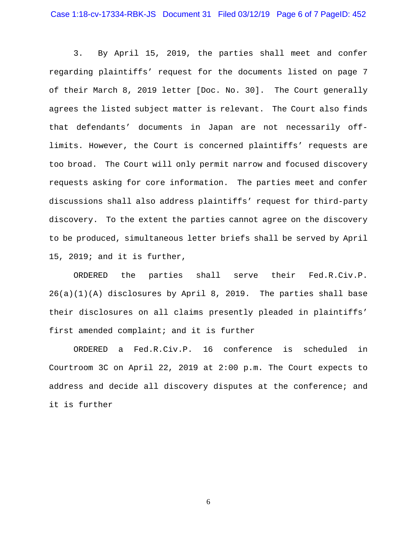3. By April 15, 2019, the parties shall meet and confer regarding plaintiffs' request for the documents listed on page 7 of their March 8, 2019 letter [Doc. No. 30]. The Court generally agrees the listed subject matter is relevant. The Court also finds that defendants' documents in Japan are not necessarily offlimits. However, the Court is concerned plaintiffs' requests are too broad. The Court will only permit narrow and focused discovery requests asking for core information. The parties meet and confer discussions shall also address plaintiffs' request for third-party discovery. To the extent the parties cannot agree on the discovery to be produced, simultaneous letter briefs shall be served by April 15, 2019; and it is further,

ORDERED the parties shall serve their Fed.R.Civ.P. 26(a)(1)(A) disclosures by April 8, 2019. The parties shall base their disclosures on all claims presently pleaded in plaintiffs' first amended complaint; and it is further

ORDERED a Fed.R.Civ.P. 16 conference is scheduled in Courtroom 3C on April 22, 2019 at 2:00 p.m. The Court expects to address and decide all discovery disputes at the conference; and it is further